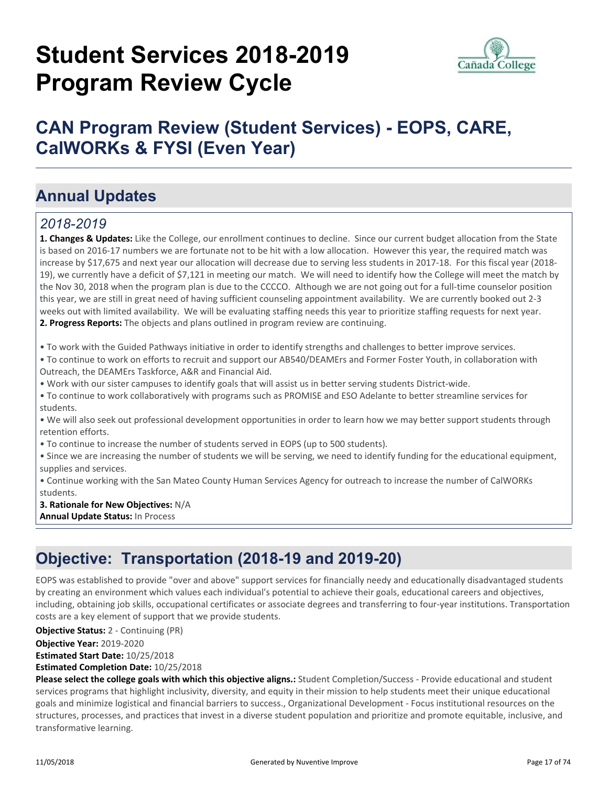# **Student Services 2018-2019 Program Review Cycle**



## **CAN Program Review (Student Services) - EOPS, CARE, CalWORKs & FYSI (Even Year)**

### **Annual Updates**

#### *2018-2019*

**1. Changes & Updates:** Like the College, our enrollment continues to decline. Since our current budget allocation from the State is based on 2016-17 numbers we are fortunate not to be hit with a low allocation. However this year, the required match was increase by \$17,675 and next year our allocation will decrease due to serving less students in 2017-18. For this fiscal year (2018- 19), we currently have a deficit of \$7,121 in meeting our match. We will need to identify how the College will meet the match by the Nov 30, 2018 when the program plan is due to the CCCCO. Although we are not going out for a full-time counselor position this year, we are still in great need of having sufficient counseling appointment availability. We are currently booked out 2-3 weeks out with limited availability. We will be evaluating staffing needs this year to prioritize staffing requests for next year. **2. Progress Reports:** The objects and plans outlined in program review are continuing.

• To work with the Guided Pathways initiative in order to identify strengths and challenges to better improve services.

• To continue to work on efforts to recruit and support our AB540/DEAMErs and Former Foster Youth, in collaboration with Outreach, the DEAMErs Taskforce, A&R and Financial Aid.

• Work with our sister campuses to identify goals that will assist us in better serving students District-wide.

• To continue to work collaboratively with programs such as PROMISE and ESO Adelante to better streamline services for students.

• We will also seek out professional development opportunities in order to learn how we may better support students through retention efforts.

• To continue to increase the number of students served in EOPS (up to 500 students).

• Since we are increasing the number of students we will be serving, we need to identify funding for the educational equipment, supplies and services.

• Continue working with the San Mateo County Human Services Agency for outreach to increase the number of CalWORKs students.

**3. Rationale for New Objectives:** N/A **Annual Update Status:** In Process

### **Objective: Transportation (2018-19 and 2019-20)**

EOPS was established to provide "over and above" support services for financially needy and educationally disadvantaged students by creating an environment which values each individual's potential to achieve their goals, educational careers and objectives, including, obtaining job skills, occupational certificates or associate degrees and transferring to four-year institutions. Transportation costs are a key element of support that we provide students.

**Objective Status:** 2 - Continuing (PR)

**Objective Year:** 2019-2020

**Estimated Start Date:** 10/25/2018

**Estimated Completion Date:** 10/25/2018

**Please select the college goals with which this objective aligns.:** Student Completion/Success - Provide educational and student services programs that highlight inclusivity, diversity, and equity in their mission to help students meet their unique educational goals and minimize logistical and financial barriers to success., Organizational Development - Focus institutional resources on the structures, processes, and practices that invest in a diverse student population and prioritize and promote equitable, inclusive, and transformative learning.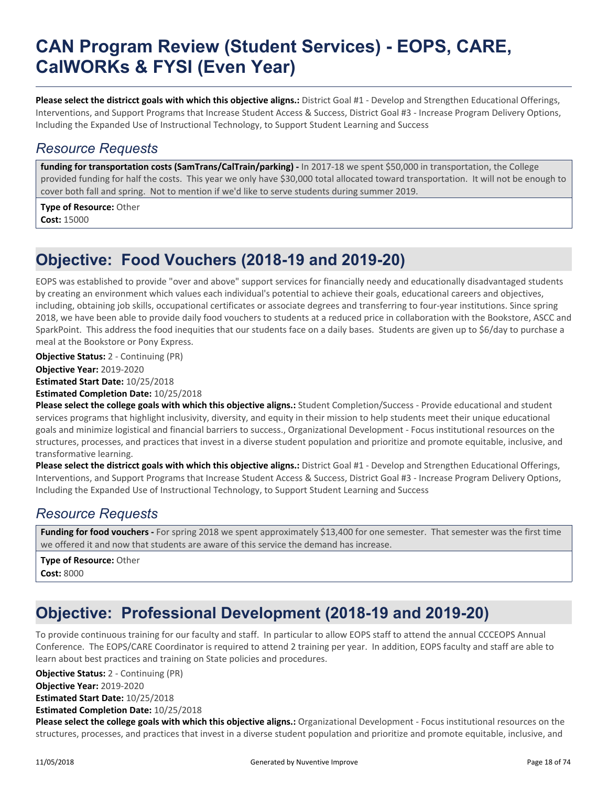### **CAN Program Review (Student Services) - EOPS, CARE, CalWORKs & FYSI (Even Year)**

**Please select the districct goals with which this objective aligns.:** District Goal #1 - Develop and Strengthen Educational Offerings, Interventions, and Support Programs that Increase Student Access & Success, District Goal #3 - Increase Program Delivery Options, Including the Expanded Use of Instructional Technology, to Support Student Learning and Success

#### *Resource Requests*

**funding for transportation costs (SamTrans/CalTrain/parking) -** In 2017-18 we spent \$50,000 in transportation, the College provided funding for half the costs. This year we only have \$30,000 total allocated toward transportation. It will not be enough to cover both fall and spring. Not to mention if we'd like to serve students during summer 2019.

**Type of Resource:** Other **Cost:** 15000

### **Objective: Food Vouchers (2018-19 and 2019-20)**

EOPS was established to provide "over and above" support services for financially needy and educationally disadvantaged students by creating an environment which values each individual's potential to achieve their goals, educational careers and objectives, including, obtaining job skills, occupational certificates or associate degrees and transferring to four-year institutions. Since spring 2018, we have been able to provide daily food vouchers to students at a reduced price in collaboration with the Bookstore, ASCC and SparkPoint. This address the food inequities that our students face on a daily bases. Students are given up to \$6/day to purchase a meal at the Bookstore or Pony Express.

**Objective Year:** 2019-2020 **Estimated Start Date:** 10/25/2018 **Estimated Completion Date:** 10/25/2018 **Objective Status:** 2 - Continuing (PR)

**Please select the college goals with which this objective aligns.:** Student Completion/Success - Provide educational and student services programs that highlight inclusivity, diversity, and equity in their mission to help students meet their unique educational goals and minimize logistical and financial barriers to success., Organizational Development - Focus institutional resources on the structures, processes, and practices that invest in a diverse student population and prioritize and promote equitable, inclusive, and transformative learning.

**Please select the districct goals with which this objective aligns.:** District Goal #1 - Develop and Strengthen Educational Offerings, Interventions, and Support Programs that Increase Student Access & Success, District Goal #3 - Increase Program Delivery Options, Including the Expanded Use of Instructional Technology, to Support Student Learning and Success

#### *Resource Requests*

**Funding for food vouchers -** For spring 2018 we spent approximately \$13,400 for one semester. That semester was the first time we offered it and now that students are aware of this service the demand has increase.

**Type of Resource:** Other **Cost:** 8000

### **Objective: Professional Development (2018-19 and 2019-20)**

To provide continuous training for our faculty and staff. In particular to allow EOPS staff to attend the annual CCCEOPS Annual Conference. The EOPS/CARE Coordinator is required to attend 2 training per year. In addition, EOPS faculty and staff are able to learn about best practices and training on State policies and procedures.

**Objective Year:** 2019-2020 **Estimated Start Date:** 10/25/2018 **Estimated Completion Date:** 10/25/2018 **Objective Status:** 2 - Continuing (PR)

**Please select the college goals with which this objective aligns.:** Organizational Development - Focus institutional resources on the structures, processes, and practices that invest in a diverse student population and prioritize and promote equitable, inclusive, and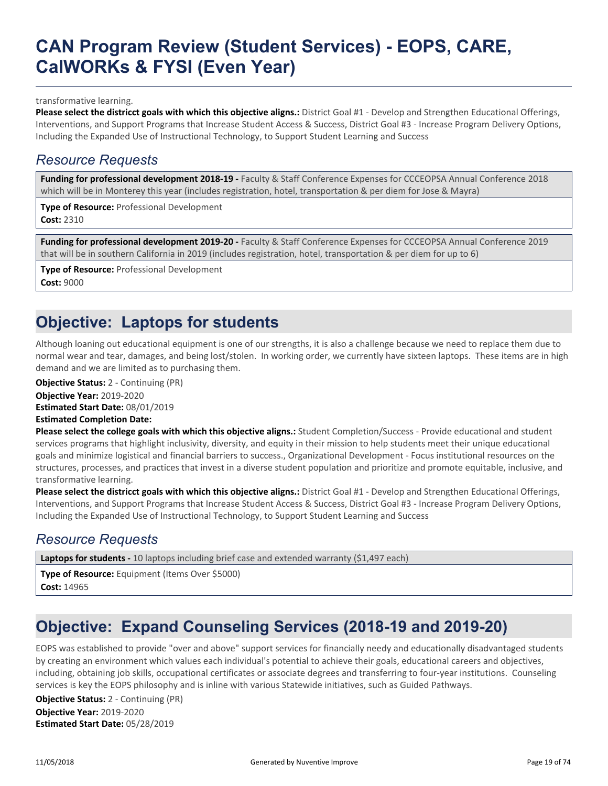### **CAN Program Review (Student Services) - EOPS, CARE, CalWORKs & FYSI (Even Year)**

transformative learning.

**Please select the districct goals with which this objective aligns.:** District Goal #1 - Develop and Strengthen Educational Offerings, Interventions, and Support Programs that Increase Student Access & Success, District Goal #3 - Increase Program Delivery Options, Including the Expanded Use of Instructional Technology, to Support Student Learning and Success

#### *Resource Requests*

**Funding for professional development 2018-19 -** Faculty & Staff Conference Expenses for CCCEOPSA Annual Conference 2018 which will be in Monterey this year (includes registration, hotel, transportation & per diem for Jose & Mayra)

**Type of Resource:** Professional Development

**Cost:** 2310

**Funding for professional development 2019-20 -** Faculty & Staff Conference Expenses for CCCEOPSA Annual Conference 2019 that will be in southern California in 2019 (includes registration, hotel, transportation & per diem for up to 6)

**Type of Resource:** Professional Development **Cost:** 9000

### **Objective: Laptops for students**

Although loaning out educational equipment is one of our strengths, it is also a challenge because we need to replace them due to normal wear and tear, damages, and being lost/stolen. In working order, we currently have sixteen laptops. These items are in high demand and we are limited as to purchasing them.

**Objective Status:** 2 - Continuing (PR)

**Objective Year:** 2019-2020

**Estimated Start Date:** 08/01/2019

**Estimated Completion Date:**

**Please select the college goals with which this objective aligns.:** Student Completion/Success - Provide educational and student services programs that highlight inclusivity, diversity, and equity in their mission to help students meet their unique educational goals and minimize logistical and financial barriers to success., Organizational Development - Focus institutional resources on the structures, processes, and practices that invest in a diverse student population and prioritize and promote equitable, inclusive, and transformative learning.

**Please select the districct goals with which this objective aligns.:** District Goal #1 - Develop and Strengthen Educational Offerings, Interventions, and Support Programs that Increase Student Access & Success, District Goal #3 - Increase Program Delivery Options, Including the Expanded Use of Instructional Technology, to Support Student Learning and Success

#### *Resource Requests*

Laptops for students - 10 laptops including brief case and extended warranty (\$1,497 each)

**Type of Resource:** Equipment (Items Over \$5000) **Cost:** 14965

### **Objective: Expand Counseling Services (2018-19 and 2019-20)**

EOPS was established to provide "over and above" support services for financially needy and educationally disadvantaged students by creating an environment which values each individual's potential to achieve their goals, educational careers and objectives, including, obtaining job skills, occupational certificates or associate degrees and transferring to four-year institutions. Counseling services is key the EOPS philosophy and is inline with various Statewide initiatives, such as Guided Pathways.

**Objective Year:** 2019-2020 **Estimated Start Date:** 05/28/2019 **Objective Status:** 2 - Continuing (PR)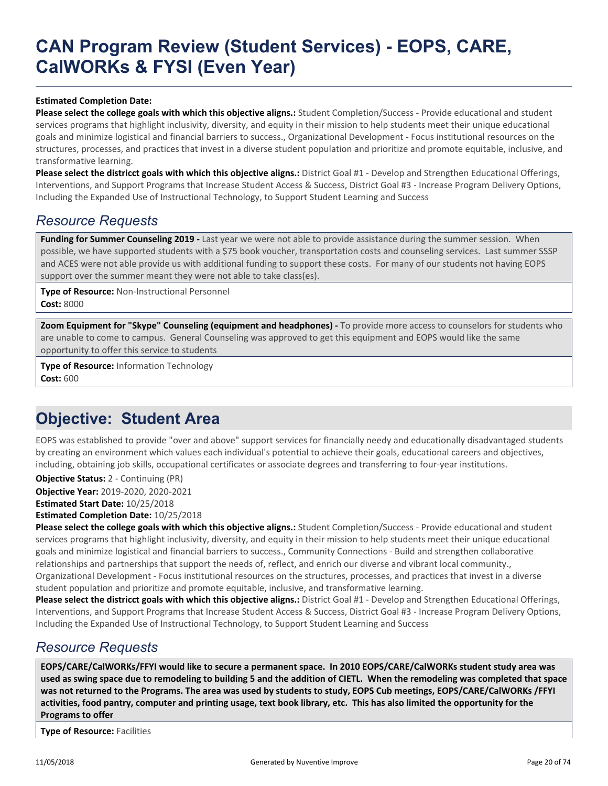### **CAN Program Review (Student Services) - EOPS, CARE, CalWORKs & FYSI (Even Year)**

#### **Estimated Completion Date:**

**Please select the college goals with which this objective aligns.:** Student Completion/Success - Provide educational and student services programs that highlight inclusivity, diversity, and equity in their mission to help students meet their unique educational goals and minimize logistical and financial barriers to success., Organizational Development - Focus institutional resources on the structures, processes, and practices that invest in a diverse student population and prioritize and promote equitable, inclusive, and transformative learning.

**Please select the districct goals with which this objective aligns.:** District Goal #1 - Develop and Strengthen Educational Offerings, Interventions, and Support Programs that Increase Student Access & Success, District Goal #3 - Increase Program Delivery Options, Including the Expanded Use of Instructional Technology, to Support Student Learning and Success

#### *Resource Requests*

Funding for Summer Counseling 2019 - Last year we were not able to provide assistance during the summer session. When possible, we have supported students with a \$75 book voucher, transportation costs and counseling services. Last summer SSSP and ACES were not able provide us with additional funding to support these costs. For many of our students not having EOPS support over the summer meant they were not able to take class(es).

**Type of Resource:** Non-Instructional Personnel **Cost:** 8000

**Zoom Equipment for "Skype" Counseling (equipment and headphones) -** To provide more access to counselors for students who are unable to come to campus. General Counseling was approved to get this equipment and EOPS would like the same opportunity to offer this service to students

**Type of Resource:** Information Technology **Cost:** 600

### **Objective: Student Area**

EOPS was established to provide "over and above" support services for financially needy and educationally disadvantaged students by creating an environment which values each individual's potential to achieve their goals, educational careers and objectives, including, obtaining job skills, occupational certificates or associate degrees and transferring to four-year institutions.

**Objective Year:** 2019-2020, 2020-2021 **Estimated Start Date:** 10/25/2018 **Estimated Completion Date:** 10/25/2018 **Objective Status:** 2 - Continuing (PR)

**Please select the college goals with which this objective aligns.:** Student Completion/Success - Provide educational and student services programs that highlight inclusivity, diversity, and equity in their mission to help students meet their unique educational goals and minimize logistical and financial barriers to success., Community Connections - Build and strengthen collaborative relationships and partnerships that support the needs of, reflect, and enrich our diverse and vibrant local community., Organizational Development - Focus institutional resources on the structures, processes, and practices that invest in a diverse student population and prioritize and promote equitable, inclusive, and transformative learning.

**Please select the districct goals with which this objective aligns.:** District Goal #1 - Develop and Strengthen Educational Offerings, Interventions, and Support Programs that Increase Student Access & Success, District Goal #3 - Increase Program Delivery Options, Including the Expanded Use of Instructional Technology, to Support Student Learning and Success

#### *Resource Requests*

**EOPS/CARE/CalWORKs/FFYI would like to secure a permanent space. In 2010 EOPS/CARE/CalWORKs student study area was used as swing space due to remodeling to building 5 and the addition of CIETL. When the remodeling was completed that space was not returned to the Programs. The area was used by students to study, EOPS Cub meetings, EOPS/CARE/CalWORKs /FFYI activities, food pantry, computer and printing usage, text book library, etc. This has also limited the opportunity for the Programs to offer**

**Type of Resource:** Facilities